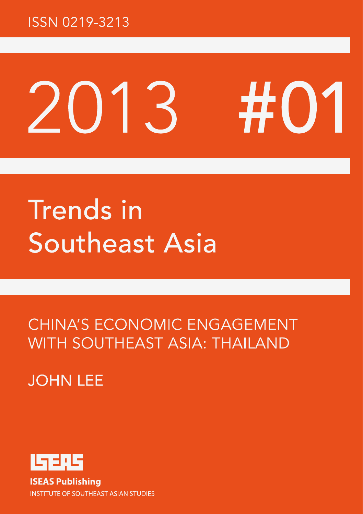### **ISSN 0219-3213**

# #01 TR  $\Box$

# **Trends** in Southeast Asia

**CHINA'S ECONOMIC ENGAGEMENT WITH SOUTHEAST ASIA: THAILAND** 

### **JOHN LFF**

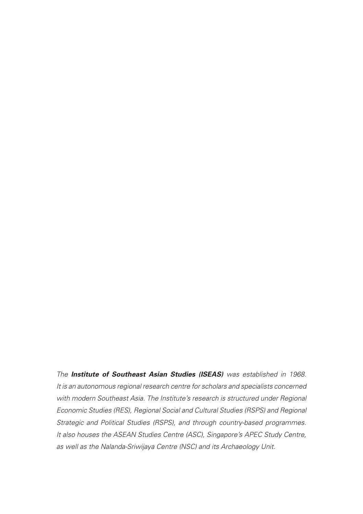*The Institute of Southeast Asian Studies (ISEAS) was established in 1968. It is an autonomous regional research centre for scholars and specialists concerned with modern Southeast Asia. The Institute's research is structured under Regional Economic Studies (RES), Regional Social and Cultural Studies (RSPS) and Regional Strategic and Political Studies (RSPS), and through country-based programmes. It also houses the ASEAN Studies Centre (ASC), Singapore's APEC Study Centre, as well as the Nalanda-Sriwijaya Centre (NSC) and its Archaeology Unit.*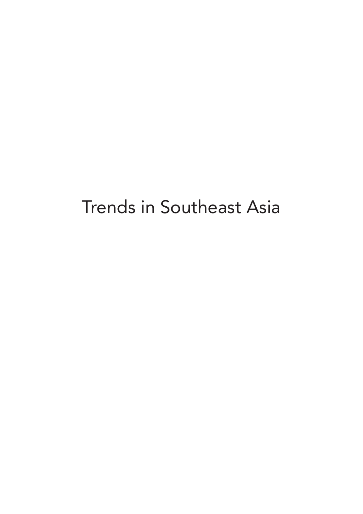## Trends in Southeast Asia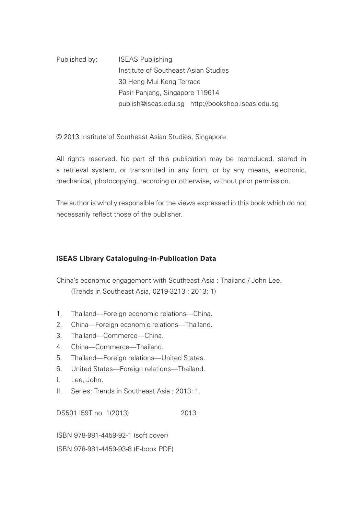Published by: ISEAS Publishing Institute of Southeast Asian Studies 30 Heng Mui Keng Terrace Pasir Panjang, Singapore 119614 publish@iseas.edu.sg http://bookshop.iseas.edu.sg

© 2013 Institute of Southeast Asian Studies, Singapore

All rights reserved. No part of this publication may be reproduced, stored in a retrieval system, or transmitted in any form, or by any means, electronic, mechanical, photocopying, recording or otherwise, without prior permission.

The author is wholly responsible for the views expressed in this book which do not necessarily reflect those of the publisher.

#### **ISEAS Library Cataloguing-in-Publication Data**

China's economic engagement with Southeast Asia : Thailand / John Lee. (Trends in Southeast Asia, 0219-3213 ; 2013: 1)

- 1. Thailand—Foreign economic relations—China.
- 2. China—Foreign economic relations—Thailand.
- 3. Thailand—Commerce—China.
- 4. China—Commerce—Thailand.
- 5. Thailand—Foreign relations—United States.
- 6. United States—Foreign relations—Thailand.
- I. Lee, John.
- II. Series: Trends in Southeast Asia ; 2013: 1.

DS501 I59T no. 1(2013) 2013

ISBN 978-981-4459-92-1 (soft cover)

ISBN 978-981-4459-93-8 (E-book PDF)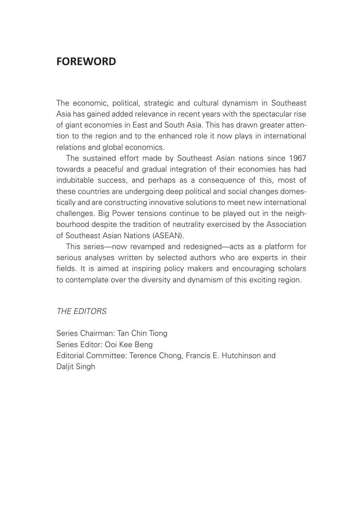### **FOREWORD**

The economic, political, strategic and cultural dynamism in Southeast Asia has gained added relevance in recent years with the spectacular rise of giant economies in East and South Asia. This has drawn greater attention to the region and to the enhanced role it now plays in international relations and global economics.

The sustained effort made by Southeast Asian nations since 1967 towards a peaceful and gradual integration of their economies has had indubitable success, and perhaps as a consequence of this, most of these countries are undergoing deep political and social changes domestically and are constructing innovative solutions to meet new international challenges. Big Power tensions continue to be played out in the neighbourhood despite the tradition of neutrality exercised by the Association of Southeast Asian Nations (ASEAN).

This series—now revamped and redesigned—acts as a platform for serious analyses written by selected authors who are experts in their fields. It is aimed at inspiring policy makers and encouraging scholars to contemplate over the diversity and dynamism of this exciting region.

#### *THE EDITORS*

Series Chairman: Tan Chin Tiong Series Editor: Ooi Kee Beng Editorial Committee: Terence Chong, Francis E. Hutchinson and Daliit Singh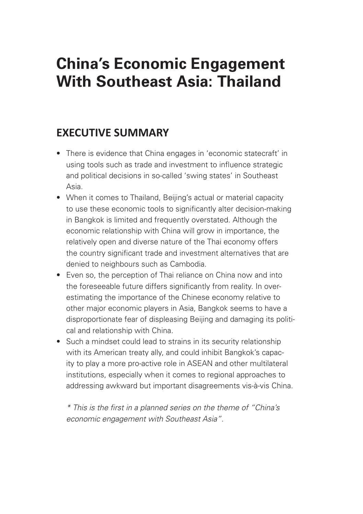### **China's Economic Engagement With Southeast Asia: Thailand**

### **EXECUTIVE SUMMARY**

- There is evidence that China engages in 'economic statecraft' in using tools such as trade and investment to influence strategic and political decisions in so-called 'swing states' in Southeast Asia.
- When it comes to Thailand, Beijing's actual or material capacity to use these economic tools to significantly alter decision-making in Bangkok is limited and frequently overstated. Although the economic relationship with China will grow in importance, the relatively open and diverse nature of the Thai economy offers the country significant trade and investment alternatives that are denied to neighbours such as Cambodia.
- Even so, the perception of Thai reliance on China now and into the foreseeable future differs significantly from reality. In overestimating the importance of the Chinese economy relative to other major economic players in Asia, Bangkok seems to have a disproportionate fear of displeasing Beijing and damaging its political and relationship with China.
- Such a mindset could lead to strains in its security relationship with its American treaty ally, and could inhibit Bangkok's capacity to play a more pro-active role in ASEAN and other multilateral institutions, especially when it comes to regional approaches to addressing awkward but important disagreements vis-à-vis China.

*\* This is the first in a planned series on the theme of "China's economic engagement with Southeast Asia".*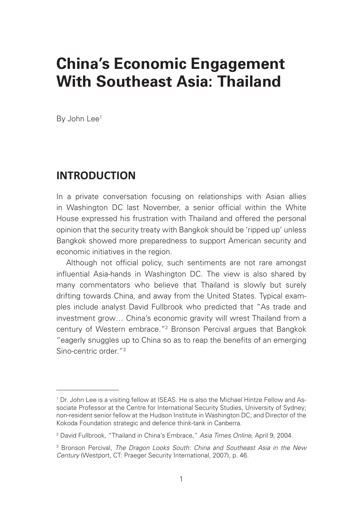### **China's Economic Engagement With Southeast Asia: Thailand**

By John Lee<sup>1</sup>

### **INTRODUCTION**

In a private conversation focusing on relationships with Asian allies in Washington DC last November, a senior official within the White House expressed his frustration with Thailand and offered the personal opinion that the security treaty with Bangkok should be 'ripped up' unless Bangkok showed more preparedness to support American security and economic initiatives in the region.

Although not official policy, such sentiments are not rare amongst influential Asia-hands in Washington DC. The view is also shared by many commentators who believe that Thailand is slowly but surely drifting towards China, and away from the United States. Typical examples include analyst David Fullbrook who predicted that "As trade and investment grow… China's economic gravity will wrest Thailand from a century of Western embrace.<sup>"2</sup> Bronson Percival argues that Bangkok "eagerly snuggles up to China so as to reap the benefits of an emerging Sino-centric order."3

<sup>1</sup> Dr. John Lee is a visiting fellow at ISEAS. He is also the Michael Hintze Fellow and Associate Professor at the Centre for International Security Studies, University of Sydney; non-resident senior fellow at the Hudson Institute in Washington DC; and Director of the Kokoda Foundation strategic and defence think-tank in Canberra.

<sup>2</sup> David Fullbrook, "Thailand in China's Embrace," *Asia Times Online*, April 9, 2004.

<sup>3</sup> Bronson Percival, *The Dragon Looks South: China and Southeast Asia in the New Century* (Westport, CT: Praeger Security International, 2007), p. 46.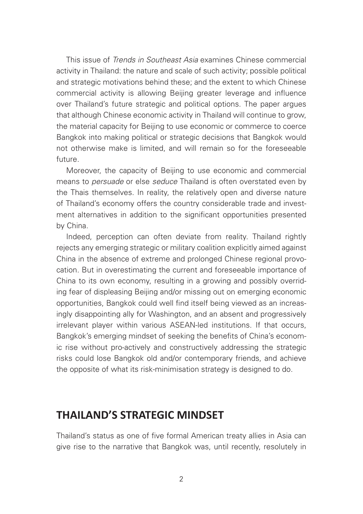This issue of *Trends in Southeast Asia* examines Chinese commercial activity in Thailand: the nature and scale of such activity; possible political and strategic motivations behind these; and the extent to which Chinese commercial activity is allowing Beijing greater leverage and influence over Thailand's future strategic and political options. The paper argues that although Chinese economic activity in Thailand will continue to grow, the material capacity for Beijing to use economic or commerce to coerce Bangkok into making political or strategic decisions that Bangkok would not otherwise make is limited, and will remain so for the foreseeable future.

Moreover, the capacity of Beijing to use economic and commercial means to *persuade* or else *seduce* Thailand is often overstated even by the Thais themselves. In reality, the relatively open and diverse nature of Thailand's economy offers the country considerable trade and investment alternatives in addition to the significant opportunities presented by China.

Indeed, perception can often deviate from reality. Thailand rightly rejects any emerging strategic or military coalition explicitly aimed against China in the absence of extreme and prolonged Chinese regional provocation. But in overestimating the current and foreseeable importance of China to its own economy, resulting in a growing and possibly overriding fear of displeasing Beijing and/or missing out on emerging economic opportunities, Bangkok could well find itself being viewed as an increasingly disappointing ally for Washington, and an absent and progressively irrelevant player within various ASEAN-led institutions. If that occurs, Bangkok's emerging mindset of seeking the benefits of China's economic rise without pro-actively and constructively addressing the strategic risks could lose Bangkok old and/or contemporary friends, and achieve the opposite of what its risk-minimisation strategy is designed to do.

### **THAILAND'S STRATEGIC MINDSET**

Thailand's status as one of five formal American treaty allies in Asia can give rise to the narrative that Bangkok was, until recently, resolutely in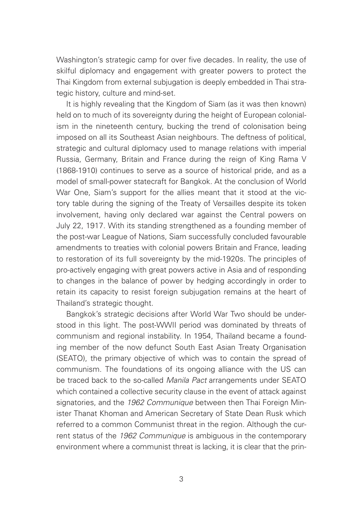Washington's strategic camp for over five decades. In reality, the use of skilful diplomacy and engagement with greater powers to protect the Thai Kingdom from external subjugation is deeply embedded in Thai strategic history, culture and mind-set.

It is highly revealing that the Kingdom of Siam (as it was then known) held on to much of its sovereignty during the height of European colonialism in the nineteenth century, bucking the trend of colonisation being imposed on all its Southeast Asian neighbours. The deftness of political, strategic and cultural diplomacy used to manage relations with imperial Russia, Germany, Britain and France during the reign of King Rama V (1868-1910) continues to serve as a source of historical pride, and as a model of small-power statecraft for Bangkok. At the conclusion of World War One, Siam's support for the allies meant that it stood at the victory table during the signing of the Treaty of Versailles despite its token involvement, having only declared war against the Central powers on July 22, 1917. With its standing strengthened as a founding member of the post-war League of Nations, Siam successfully concluded favourable amendments to treaties with colonial powers Britain and France, leading to restoration of its full sovereignty by the mid-1920s. The principles of pro-actively engaging with great powers active in Asia and of responding to changes in the balance of power by hedging accordingly in order to retain its capacity to resist foreign subjugation remains at the heart of Thailand's strategic thought.

Bangkok's strategic decisions after World War Two should be understood in this light. The post-WWII period was dominated by threats of communism and regional instability. In 1954, Thailand became a founding member of the now defunct South East Asian Treaty Organisation (SEATO), the primary objective of which was to contain the spread of communism. The foundations of its ongoing alliance with the US can be traced back to the so-called *Manila Pact* arrangements under SEATO which contained a collective security clause in the event of attack against signatories, and the *1962 Communique* between then Thai Foreign Minister Thanat Khoman and American Secretary of State Dean Rusk which referred to a common Communist threat in the region. Although the current status of the *1962 Communique* is ambiguous in the contemporary environment where a communist threat is lacking, it is clear that the prin-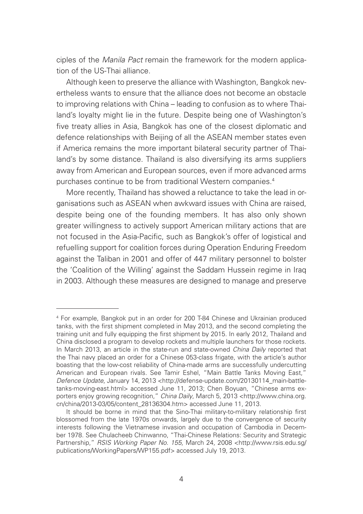ciples of the *Manila Pact* remain the framework for the modern application of the US-Thai alliance.

Although keen to preserve the alliance with Washington, Bangkok nevertheless wants to ensure that the alliance does not become an obstacle to improving relations with China – leading to confusion as to where Thailand's loyalty might lie in the future. Despite being one of Washington's five treaty allies in Asia, Bangkok has one of the closest diplomatic and defence relationships with Beijing of all the ASEAN member states even if America remains the more important bilateral security partner of Thailand's by some distance. Thailand is also diversifying its arms suppliers away from American and European sources, even if more advanced arms purchases continue to be from traditional Western companies.<sup>4</sup>

More recently, Thailand has showed a reluctance to take the lead in organisations such as ASEAN when awkward issues with China are raised, despite being one of the founding members. It has also only shown greater willingness to actively support American military actions that are not focused in the Asia-Pacific, such as Bangkok's offer of logistical and refuelling support for coalition forces during Operation Enduring Freedom against the Taliban in 2001 and offer of 447 military personnel to bolster the 'Coalition of the Willing' against the Saddam Hussein regime in Iraq in 2003. Although these measures are designed to manage and preserve

<sup>4</sup> For example, Bangkok put in an order for 200 T-84 Chinese and Ukrainian produced tanks, with the first shipment completed in May 2013, and the second completing the training unit and fully equipping the first shipment by 2015. In early 2012, Thailand and China disclosed a program to develop rockets and multiple launchers for those rockets. In March 2013, an article in the state-run and state-owned *China Daily* reported that the Thai navy placed an order for a Chinese 053-class frigate, with the article's author boasting that the low-cost reliability of China-made arms are successfully undercutting American and European rivals. See Tamir Eshel, "Main Battle Tanks Moving East," *Defence Update*, January 14, 2013 <http://defense-update.com/20130114\_main-battletanks-moving-east.html> accessed June 11, 2013; Chen Boyuan, "Chinese arms exporters enjoy growing recognition," *China Daily*, March 5, 2013 <http://www.china.org. cn/china/2013-03/05/content\_28136304.htm> accessed June 11, 2013.

It should be borne in mind that the Sino-Thai military-to-military relationship first blossomed from the late 1970s onwards, largely due to the convergence of security interests following the Vietnamese invasion and occupation of Cambodia in December 1978. See Chulacheeb Chinwanno, "Thai-Chinese Relations: Security and Strategic Partnership," *RSIS Working Paper No. 155*, March 24, 2008 <http://www.rsis.edu.sg/ publications/WorkingPapers/WP155.pdf> accessed July 19, 2013.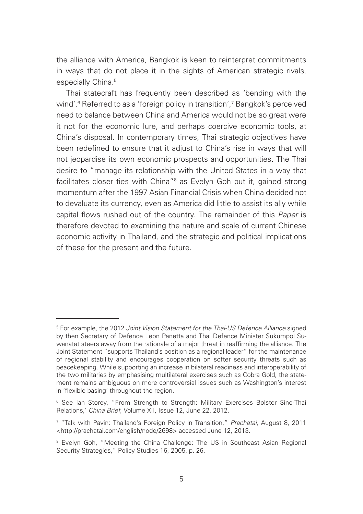the alliance with America, Bangkok is keen to reinterpret commitments in ways that do not place it in the sights of American strategic rivals, especially China.<sup>5</sup>

Thai statecraft has frequently been described as 'bending with the wind'.6 Referred to as a 'foreign policy in transition',7 Bangkok's perceived need to balance between China and America would not be so great were it not for the economic lure, and perhaps coercive economic tools, at China's disposal. In contemporary times, Thai strategic objectives have been redefined to ensure that it adjust to China's rise in ways that will not jeopardise its own economic prospects and opportunities. The Thai desire to "manage its relationship with the United States in a way that facilitates closer ties with China"<sup>8</sup> as Evelyn Goh put it, gained strong momentum after the 1997 Asian Financial Crisis when China decided not to devaluate its currency, even as America did little to assist its ally while capital flows rushed out of the country. The remainder of this *Paper* is therefore devoted to examining the nature and scale of current Chinese economic activity in Thailand, and the strategic and political implications of these for the present and the future.

<sup>5</sup> For example, the 2012 *Joint Vision Statement for the Thai-US Defence Alliance* signed by then Secretary of Defence Leon Panetta and Thai Defence Minister Sukumpol Suwanatat steers away from the rationale of a major threat in reaffirming the alliance. The Joint Statement "supports Thailand's position as a regional leader" for the maintenance of regional stability and encourages cooperation on softer security threats such as peacekeeping. While supporting an increase in bilateral readiness and interoperability of the two militaries by emphasising multilateral exercises such as Cobra Gold, the statement remains ambiguous on more controversial issues such as Washington's interest in 'flexible basing' throughout the region.

<sup>6</sup> See Ian Storey, "From Strength to Strength: Military Exercises Bolster Sino-Thai Relations,' *China Brief*, Volume XII, Issue 12, June 22, 2012.

<sup>7</sup> "Talk with Pavin: Thailand's Foreign Policy in Transition," *Prachatai*, August 8, 2011 <http://prachatai.com/english/node/2698> accessed June 12, 2013.

<sup>&</sup>lt;sup>8</sup> Evelyn Goh, "Meeting the China Challenge: The US in Southeast Asian Regional Security Strategies," Policy Studies 16, 2005, p. 26.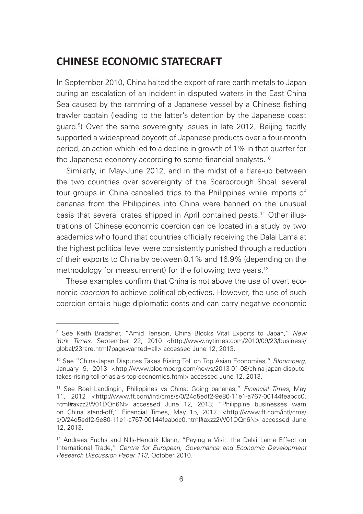### **CHINESE ECONOMIC STATECRAFT**

In September 2010, China halted the export of rare earth metals to Japan during an escalation of an incident in disputed waters in the East China Sea caused by the ramming of a Japanese vessel by a Chinese fishing trawler captain (leading to the latter's detention by the Japanese coast guard.9 ) Over the same sovereignty issues in late 2012, Beijing tacitly supported a widespread boycott of Japanese products over a four-month period, an action which led to a decline in growth of 1% in that quarter for the Japanese economy according to some financial analysts.<sup>10</sup>

Similarly, in May-June 2012, and in the midst of a flare-up between the two countries over sovereignty of the Scarborough Shoal, several tour groups in China cancelled trips to the Philippines while imports of bananas from the Philippines into China were banned on the unusual basis that several crates shipped in April contained pests.<sup>11</sup> Other illustrations of Chinese economic coercion can be located in a study by two academics who found that countries officially receiving the Dalai Lama at the highest political level were consistently punished through a reduction of their exports to China by between 8.1% and 16.9% (depending on the methodology for measurement) for the following two years.<sup>12</sup>

These examples confirm that China is not above the use of overt economic *coercion* to achieve political objectives. However, the use of such coercion entails huge diplomatic costs and can carry negative economic

<sup>9</sup> See Keith Bradsher, "Amid Tension, China Blocks Vital Exports to Japan," *New York Times*, September 22, 2010 <http://www.nytimes.com/2010/09/23/business/ global/23rare.html?pagewanted=all> accessed June 12, 2013.

<sup>10</sup> See "China-Japan Disputes Takes Rising Toll on Top Asian Economies," *Bloomberg*, January 9, 2013 <http://www.bloomberg.com/news/2013-01-08/china-japan-disputetakes-rising-toll-of-asia-s-top-economies.html> accessed June 12, 2013.

<sup>11</sup> See Roel Landingin, Philippines vs China: Going bananas," *Financial Times*, May 11, 2012 <http://www.ft.com/intl/cms/s/0/24d5edf2-9e80-11e1-a767-00144feabdc0. html#axzz2W01DQn6N> accessed June 12, 2013; "Philippine businesses warn on China stand-off," Financial Times, May 15, 2012. <http://www.ft.com/intl/cms/ s/0/24d5edf2-9e80-11e1-a767-00144feabdc0.html#axzz2W01DQn6N> accessed June 12, 2013.

<sup>&</sup>lt;sup>12</sup> Andreas Fuchs and Nils-Hendrik Klann, "Paying a Visit: the Dalai Lama Effect on International Trade," *Centre for European, Governance and Economic Development Research Discussion Paper 113*, October 2010.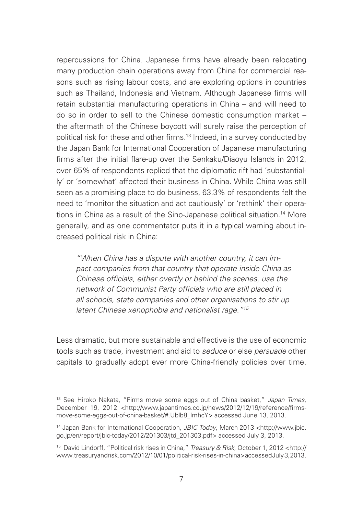repercussions for China. Japanese firms have already been relocating many production chain operations away from China for commercial reasons such as rising labour costs, and are exploring options in countries such as Thailand, Indonesia and Vietnam. Although Japanese firms will retain substantial manufacturing operations in China – and will need to do so in order to sell to the Chinese domestic consumption market – the aftermath of the Chinese boycott will surely raise the perception of political risk for these and other firms.<sup>13</sup> Indeed, in a survey conducted by the Japan Bank for International Cooperation of Japanese manufacturing firms after the initial flare-up over the Senkaku/Diaoyu Islands in 2012, over 65% of respondents replied that the diplomatic rift had 'substantially' or 'somewhat' affected their business in China. While China was still seen as a promising place to do business, 63.3% of respondents felt the need to 'monitor the situation and act cautiously' or 'rethink' their operations in China as a result of the Sino-Japanese political situation.<sup>14</sup> More generally, and as one commentator puts it in a typical warning about increased political risk in China:

*"When China has a dispute with another country, it can impact companies from that country that operate inside China as Chinese officials, either overtly or behind the scenes, use the network of Communist Party officials who are still placed in all schools, state companies and other organisations to stir up latent Chinese xenophobia and nationalist rage."15*

Less dramatic, but more sustainable and effective is the use of economic tools such as trade, investment and aid to *seduce* or else *persuade* other capitals to gradually adopt ever more China-friendly policies over time.

<sup>13</sup> See Hiroko Nakata, "Firms move some eggs out of China basket," *Japan Times*, December 19, 2012 <http://www.japantimes.co.jp/news/2012/12/19/reference/firmsmove-some-eggs-out-of-china-basket/#.Ublb8\_lmhcY> accessed June 13, 2013.

<sup>14</sup> Japan Bank for International Cooperation, *JBIC Today*, March 2013 <http://www.jbic. go.jp/en/report/jbic-today/2012/201303/jtd\_201303.pdf> accessed July 3, 2013.

<sup>15</sup> David Lindorff, "Political risk rises in China," *Treasury & Risk*, October 1, 2012 <http:// www.treasuryandrisk.com/2012/10/01/political-risk-rises-in-china> accessed July 3, 2013.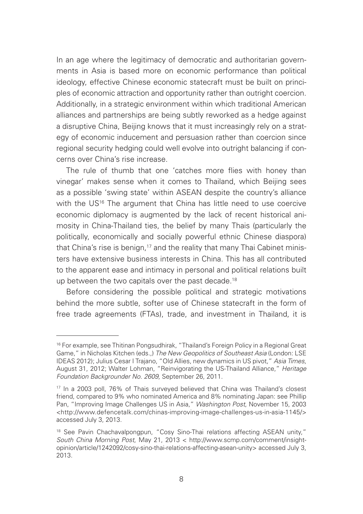In an age where the legitimacy of democratic and authoritarian governments in Asia is based more on economic performance than political ideology, effective Chinese economic statecraft must be built on principles of economic attraction and opportunity rather than outright coercion. Additionally, in a strategic environment within which traditional American alliances and partnerships are being subtly reworked as a hedge against a disruptive China, Beijing knows that it must increasingly rely on a strategy of economic inducement and persuasion rather than coercion since regional security hedging could well evolve into outright balancing if concerns over China's rise increase.

The rule of thumb that one 'catches more flies with honey than vinegar' makes sense when it comes to Thailand, which Beijing sees as a possible 'swing state' within ASEAN despite the country's alliance with the US<sup>16</sup> The argument that China has little need to use coercive economic diplomacy is augmented by the lack of recent historical animosity in China-Thailand ties, the belief by many Thais (particularly the politically, economically and socially powerful ethnic Chinese diaspora) that China's rise is benign,<sup>17</sup> and the reality that many Thai Cabinet ministers have extensive business interests in China. This has all contributed to the apparent ease and intimacy in personal and political relations built up between the two capitals over the past decade.<sup>18</sup>

Before considering the possible political and strategic motivations behind the more subtle, softer use of Chinese statecraft in the form of free trade agreements (FTAs), trade, and investment in Thailand, it is

<sup>16</sup> For example, see Thitinan Pongsudhirak, "Thailand's Foreign Policy in a Regional Great Game," in Nicholas Kitchen (eds.,) *The New Geopolitics of Southeast Asia* (London: LSE IDEAS 2012); Julius Cesar I Trajano, "Old Allies, new dynamics in US pivot," *Asia Times*, August 31, 2012; Walter Lohman, "Reinvigorating the US-Thailand Alliance," *Heritage Foundation Backgrounder No. 2609*, September 26, 2011.

<sup>17</sup> In a 2003 poll, 76% of Thais surveyed believed that China was Thailand's closest friend, compared to 9% who nominated America and 8% nominating Japan: see Phillip Pan, "Improving Image Challenges US in Asia," *Washington Post*, November 15, 2003 <http://www.defencetalk.com/chinas-improving-image-challenges-us-in-asia-1145/> accessed July 3, 2013.

<sup>&</sup>lt;sup>18</sup> See Pavin Chachavalpongpun, "Cosy Sino-Thai relations affecting ASEAN unity," *South China Morning Post*, May 21, 2013 < http://www.scmp.com/comment/insightopinion/article/1242092/cosy-sino-thai-relations-affecting-asean-unity> accessed July 3, 2013.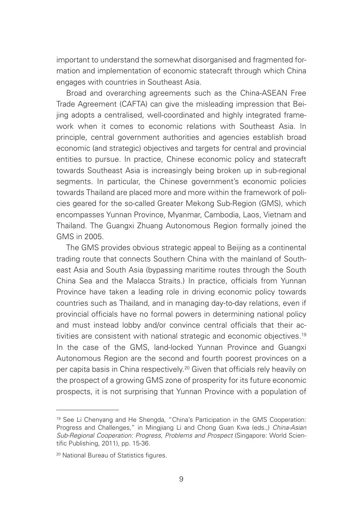important to understand the somewhat disorganised and fragmented formation and implementation of economic statecraft through which China engages with countries in Southeast Asia.

Broad and overarching agreements such as the China-ASEAN Free Trade Agreement (CAFTA) can give the misleading impression that Beijing adopts a centralised, well-coordinated and highly integrated framework when it comes to economic relations with Southeast Asia. In principle, central government authorities and agencies establish broad economic (and strategic) objectives and targets for central and provincial entities to pursue. In practice, Chinese economic policy and statecraft towards Southeast Asia is increasingly being broken up in sub-regional segments. In particular, the Chinese government's economic policies towards Thailand are placed more and more within the framework of policies geared for the so-called Greater Mekong Sub-Region (GMS), which encompasses Yunnan Province, Myanmar, Cambodia, Laos, Vietnam and Thailand. The Guangxi Zhuang Autonomous Region formally joined the GMS in 2005.

The GMS provides obvious strategic appeal to Beijing as a continental trading route that connects Southern China with the mainland of Southeast Asia and South Asia (bypassing maritime routes through the South China Sea and the Malacca Straits.) In practice, officials from Yunnan Province have taken a leading role in driving economic policy towards countries such as Thailand, and in managing day-to-day relations, even if provincial officials have no formal powers in determining national policy and must instead lobby and/or convince central officials that their activities are consistent with national strategic and economic objectives.<sup>19</sup> In the case of the GMS, land-locked Yunnan Province and Guangxi Autonomous Region are the second and fourth poorest provinces on a per capita basis in China respectively.20 Given that officials rely heavily on the prospect of a growing GMS zone of prosperity for its future economic prospects, it is not surprising that Yunnan Province with a population of

<sup>19</sup> See Li Chenyang and He Shengda, "China's Participation in the GMS Cooperation: Progress and Challenges," in Mingjiang Li and Chong Guan Kwa (eds.,) *China-Asian Sub-Regional Cooperation: Progress, Problems and Prospect* (Singapore: World Scientific Publishing, 2011), pp. 15-36.

<sup>20</sup> National Bureau of Statistics figures.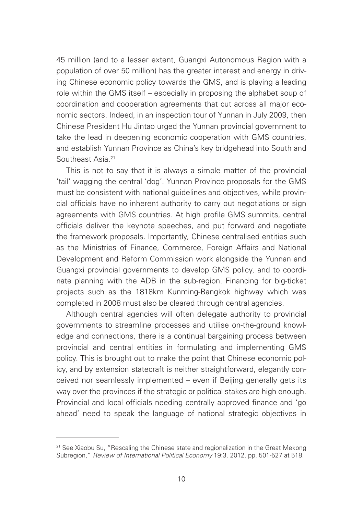45 million (and to a lesser extent, Guangxi Autonomous Region with a population of over 50 million) has the greater interest and energy in driving Chinese economic policy towards the GMS, and is playing a leading role within the GMS itself – especially in proposing the alphabet soup of coordination and cooperation agreements that cut across all major economic sectors. Indeed, in an inspection tour of Yunnan in July 2009, then Chinese President Hu Jintao urged the Yunnan provincial government to take the lead in deepening economic cooperation with GMS countries, and establish Yunnan Province as China's key bridgehead into South and Southeast Asia.21

This is not to say that it is always a simple matter of the provincial 'tail' wagging the central 'dog'. Yunnan Province proposals for the GMS must be consistent with national guidelines and objectives, while provincial officials have no inherent authority to carry out negotiations or sign agreements with GMS countries. At high profile GMS summits, central officials deliver the keynote speeches, and put forward and negotiate the framework proposals. Importantly, Chinese centralised entities such as the Ministries of Finance, Commerce, Foreign Affairs and National Development and Reform Commission work alongside the Yunnan and Guangxi provincial governments to develop GMS policy, and to coordinate planning with the ADB in the sub-region. Financing for big-ticket projects such as the 1818km Kunming-Bangkok highway which was completed in 2008 must also be cleared through central agencies.

Although central agencies will often delegate authority to provincial governments to streamline processes and utilise on-the-ground knowledge and connections, there is a continual bargaining process between provincial and central entities in formulating and implementing GMS policy. This is brought out to make the point that Chinese economic policy, and by extension statecraft is neither straightforward, elegantly conceived nor seamlessly implemented – even if Beijing generally gets its way over the provinces if the strategic or political stakes are high enough. Provincial and local officials needing centrally approved finance and 'go ahead' need to speak the language of national strategic objectives in

<sup>&</sup>lt;sup>21</sup> See Xiaobu Su, "Rescaling the Chinese state and regionalization in the Great Mekong Subregion," *Review of International Political Economy* 19:3, 2012, pp. 501-527 at 518.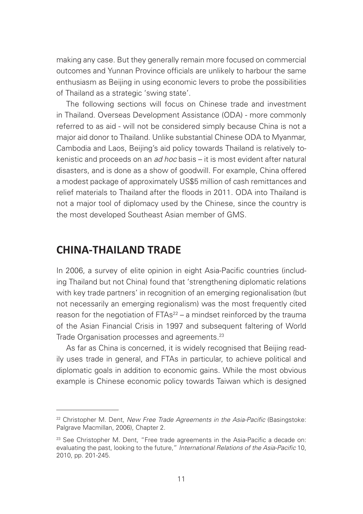making any case. But they generally remain more focused on commercial outcomes and Yunnan Province officials are unlikely to harbour the same enthusiasm as Beijing in using economic levers to probe the possibilities of Thailand as a strategic 'swing state'.

The following sections will focus on Chinese trade and investment in Thailand. Overseas Development Assistance (ODA) - more commonly referred to as aid - will not be considered simply because China is not a major aid donor to Thailand. Unlike substantial Chinese ODA to Myanmar, Cambodia and Laos, Beijing's aid policy towards Thailand is relatively tokenistic and proceeds on an *ad hoc* basis – it is most evident after natural disasters, and is done as a show of goodwill. For example, China offered a modest package of approximately US\$5 million of cash remittances and relief materials to Thailand after the floods in 2011. ODA into Thailand is not a major tool of diplomacy used by the Chinese, since the country is the most developed Southeast Asian member of GMS.

### **CHINA-THAILAND TRADE**

In 2006, a survey of elite opinion in eight Asia-Pacific countries (including Thailand but not China) found that 'strengthening diplomatic relations with key trade partners' in recognition of an emerging regionalisation (but not necessarily an emerging regionalism) was the most frequently cited reason for the negotiation of  $FTAs<sup>22</sup> - a$  mindset reinforced by the trauma of the Asian Financial Crisis in 1997 and subsequent faltering of World Trade Organisation processes and agreements.23

As far as China is concerned, it is widely recognised that Beijing readily uses trade in general, and FTAs in particular, to achieve political and diplomatic goals in addition to economic gains. While the most obvious example is Chinese economic policy towards Taiwan which is designed

<sup>22</sup> Christopher M. Dent, *New Free Trade Agreements in the Asia-Pacific* (Basingstoke: Palgrave Macmillan, 2006), Chapter 2.

<sup>&</sup>lt;sup>23</sup> See Christopher M. Dent, "Free trade agreements in the Asia-Pacific a decade on: evaluating the past, looking to the future," *International Relations of the Asia-Pacific* 10, 2010, pp. 201-245.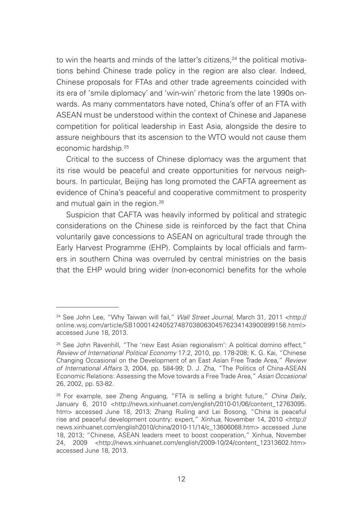to win the hearts and minds of the latter's citizens.<sup>24</sup> the political motivations behind Chinese trade policy in the region are also clear. Indeed, Chinese proposals for FTAs and other trade agreements coincided with its era of 'smile diplomacy' and 'win-win' rhetoric from the late 1990s onwards. As many commentators have noted, China's offer of an FTA with ASEAN must be understood within the context of Chinese and Japanese competition for political leadership in East Asia, alongside the desire to assure neighbours that its ascension to the WTO would not cause them economic hardship.25

Critical to the success of Chinese diplomacy was the argument that its rise would be peaceful and create opportunities for nervous neighbours. In particular, Beijing has long promoted the CAFTA agreement as evidence of China's peaceful and cooperative commitment to prosperity and mutual gain in the region.<sup>26</sup>

Suspicion that CAFTA was heavily informed by political and strategic considerations on the Chinese side is reinforced by the fact that China voluntarily gave concessions to ASEAN on agricultural trade through the Early Harvest Programme (EHP). Complaints by local officials and farmers in southern China was overruled by central ministries on the basis that the EHP would bring wider (non-economic) benefits for the whole

<sup>&</sup>lt;sup>24</sup> See John Lee, "Why Taiwan will fail," *Wall Street Journal*, March 31, 2011 <http:// online.wsj.com/article/SB10001424052748703806304576234143900899156.html> accessed June 18, 2013.

<sup>&</sup>lt;sup>25</sup> See John Ravenhill, "The 'new East Asian regionalism': A political domino effect," *Review of International Political Economy* 17:2, 2010, pp. 178-208; K. G. Kai, "Chinese Changing Occasional on the Development of an East Asian Free Trade Area," *Review of International Affairs* 3, 2004, pp. 584-99; D. J. Zha, "The Politics of China-ASEAN Economic Relations: Assessing the Move towards a Free Trade Area," *Asian Occasional*  26, 2002, pp. 53-82.

<sup>26</sup> For example, see Zheng Anguang, "FTA is selling a bright future," *China Daily*, January 6, 2010 <http://news.xinhuanet.com/english/2010-01/06/content\_12763095. htm> accessed June 18, 2013; Zhang Ruiling and Lei Bosong, "China is peaceful rise and peaceful development country: expert," *Xinhua*, November 14, 2010 <http:// news.xinhuanet.com/english2010/china/2010-11/14/c\_13606068.htm> accessed June 18, 2013; "Chinese, ASEAN leaders meet to boost cooperation," Xinhua, November 24, 2009 <http://news.xinhuanet.com/english/2009-10/24/content\_12313602.htm> accessed June 18, 2013.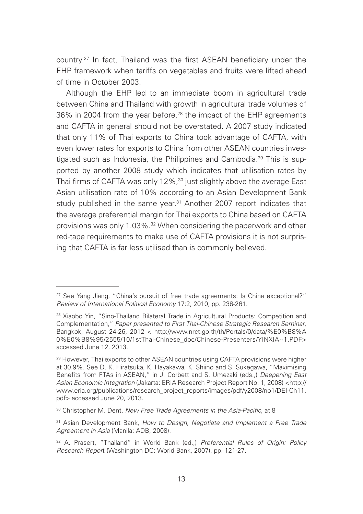country.27 In fact, Thailand was the first ASEAN beneficiary under the EHP framework when tariffs on vegetables and fruits were lifted ahead of time in October 2003.

Although the EHP led to an immediate boom in agricultural trade between China and Thailand with growth in agricultural trade volumes of 36% in 2004 from the year before,<sup>28</sup> the impact of the EHP agreements and CAFTA in general should not be overstated. A 2007 study indicated that only 11% of Thai exports to China took advantage of CAFTA, with even lower rates for exports to China from other ASEAN countries investigated such as Indonesia, the Philippines and Cambodia.<sup>29</sup> This is supported by another 2008 study which indicates that utilisation rates by Thai firms of CAFTA was only 12%,<sup>30</sup> just slightly above the average East Asian utilisation rate of 10% according to an Asian Development Bank study published in the same year.<sup>31</sup> Another 2007 report indicates that the average preferential margin for Thai exports to China based on CAFTA provisions was only 1.03%.<sup>32</sup> When considering the paperwork and other red-tape requirements to make use of CAFTA provisions it is not surprising that CAFTA is far less utilised than is commonly believed.

<sup>27</sup> See Yang Jiang, "China's pursuit of free trade agreements: Is China exceptional?" *Review of International Political Economy* 17:2, 2010, pp. 238-261.

<sup>&</sup>lt;sup>28</sup> Xiaobo Yin, "Sino-Thailand Bilateral Trade in Agricultural Products: Competition and Complementation," *Paper presented to First Thai-Chinese Strategic Research Seminar*, Bangkok, August 24-26, 2012 < http://www.nrct.go.th/th/Portals/0/data/%E0%B8%A 0%E0%B8%95/2555/10/1stThai-Chinese\_doc/Chinese-Presenters/YINXIA~1.PDF> accessed June 12, 2013.

<sup>29</sup> However, Thai exports to other ASEAN countries using CAFTA provisions were higher at 30.9%. See D. K. Hiratsuka, K. Hayakawa, K. Shiino and S. Sukegawa, "Maximising Benefits from FTAs in ASEAN," in J. Corbett and S. Umezaki (eds.,) *Deepening East Asian Economic Integration* (Jakarta: ERIA Research Project Report No. 1, 2008) <http:// www.eria.org/publications/research\_project\_reports/images/pdf/y2008/no1/DEI-Ch11. pdf> accessed June 20, 2013.

<sup>30</sup> Christopher M. Dent, *New Free Trade Agreements in the Asia-Pacific*, at 8

<sup>31</sup> Asian Development Bank, *How to Design, Negotiate and Implement a Free Trade Agreement in Asia* (Manila: ADB, 2008).

<sup>32</sup> A. Prasert, "Thailand" in World Bank (ed.,) *Preferential Rules of Origin: Policy Research Repor*t (Washington DC: World Bank, 2007), pp. 121-27.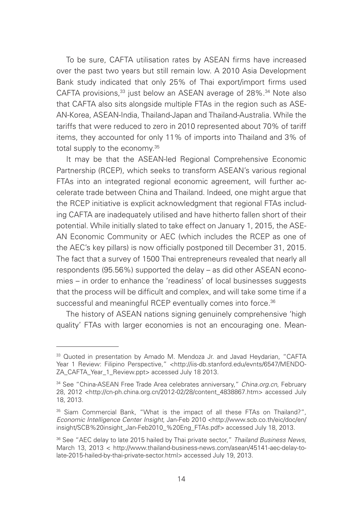To be sure, CAFTA utilisation rates by ASEAN firms have increased over the past two years but still remain low. A 2010 Asia Development Bank study indicated that only 25% of Thai export/import firms used CAFTA provisions,<sup>33</sup> just below an ASEAN average of 28%.<sup>34</sup> Note also that CAFTA also sits alongside multiple FTAs in the region such as ASE-AN-Korea, ASEAN-India, Thailand-Japan and Thailand-Australia. While the tariffs that were reduced to zero in 2010 represented about 70% of tariff items, they accounted for only 11% of imports into Thailand and 3% of total supply to the economy.<sup>35</sup>

It may be that the ASEAN-led Regional Comprehensive Economic Partnership (RCEP), which seeks to transform ASEAN's various regional FTAs into an integrated regional economic agreement, will further accelerate trade between China and Thailand. Indeed, one might argue that the RCEP initiative is explicit acknowledgment that regional FTAs including CAFTA are inadequately utilised and have hitherto fallen short of their potential. While initially slated to take effect on January 1, 2015, the ASE-AN Economic Community or AEC (which includes the RCEP as one of the AEC's key pillars) is now officially postponed till December 31, 2015. The fact that a survey of 1500 Thai entrepreneurs revealed that nearly all respondents (95.56%) supported the delay – as did other ASEAN economies – in order to enhance the 'readiness' of local businesses suggests that the process will be difficult and complex, and will take some time if a successful and meaningful RCEP eventually comes into force.<sup>36</sup>

The history of ASEAN nations signing genuinely comprehensive 'high quality' FTAs with larger economies is not an encouraging one. Mean-

<sup>&</sup>lt;sup>33</sup> Quoted in presentation by Amado M. Mendoza Jr. and Javad Heydarian, "CAFTA Year 1 Review: Filipino Perspective," <http://iis-db.stanford.edu/evnts/6547/MENDO-ZA\_CAFTA\_Year\_1\_Review.ppt> accessed July 18 2013.

<sup>34</sup> See "China-ASEAN Free Trade Area celebrates anniversary," *China.org.cn*, February 28, 2012 <http://cn-ph.china.org.cn/2012-02/28/content\_4838867.htm> accessed July 18, 2013.

<sup>&</sup>lt;sup>35</sup> Siam Commercial Bank, "What is the impact of all these FTAs on Thailand?", *Economic Intelligence Center Insight*, Jan-Feb 2010 <http://www.scb.co.th/eic/doc/en/ insight/SCB%20insight\_Jan-Feb2010\_%20Eng\_FTAs.pdf> accessed July 18, 2013.

<sup>36</sup> See "AEC delay to late 2015 hailed by Thai private sector," *Thailand Business News*, March 13, 2013 < http://www.thailand-business-news.com/asean/45141-aec-delay-tolate-2015-hailed-by-thai-private-sector.html> accessed July 19, 2013.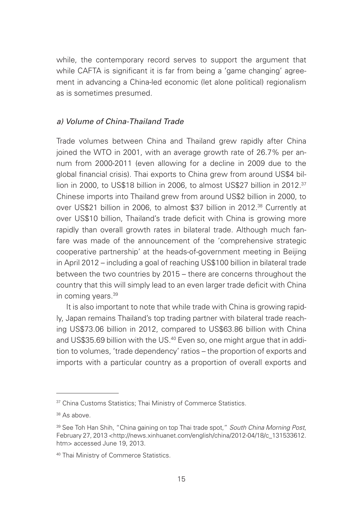while, the contemporary record serves to support the argument that while CAFTA is significant it is far from being a 'game changing' agreement in advancing a China-led economic (let alone political) regionalism as is sometimes presumed.

#### *a) Volume of China-Thailand Trade*

Trade volumes between China and Thailand grew rapidly after China joined the WTO in 2001, with an average growth rate of 26.7% per annum from 2000-2011 (even allowing for a decline in 2009 due to the global financial crisis). Thai exports to China grew from around US\$4 billion in 2000, to US\$18 billion in 2006, to almost US\$27 billion in 2012.<sup>37</sup> Chinese imports into Thailand grew from around US\$2 billion in 2000, to over US\$21 billion in 2006, to almost \$37 billion in 2012.<sup>38</sup> Currently at over US\$10 billion, Thailand's trade deficit with China is growing more rapidly than overall growth rates in bilateral trade. Although much fanfare was made of the announcement of the 'comprehensive strategic cooperative partnership' at the heads-of-government meeting in Beijing in April 2012 – including a goal of reaching US\$100 billion in bilateral trade between the two countries by 2015 – there are concerns throughout the country that this will simply lead to an even larger trade deficit with China in coming years.39

It is also important to note that while trade with China is growing rapidly, Japan remains Thailand's top trading partner with bilateral trade reaching US\$73.06 billion in 2012, compared to US\$63.86 billion with China and US\$35.69 billion with the US.<sup>40</sup> Even so, one might argue that in addition to volumes, 'trade dependency' ratios – the proportion of exports and imports with a particular country as a proportion of overall exports and

<sup>&</sup>lt;sup>37</sup> China Customs Statistics: Thai Ministry of Commerce Statistics.

<sup>38</sup> As above.

<sup>39</sup> See Toh Han Shih, "China gaining on top Thai trade spot," *South China Morning Post*, February 27, 2013 <http://news.xinhuanet.com/english/china/2012-04/18/c\_131533612. htm> accessed June 19, 2013.

<sup>40</sup> Thai Ministry of Commerce Statistics.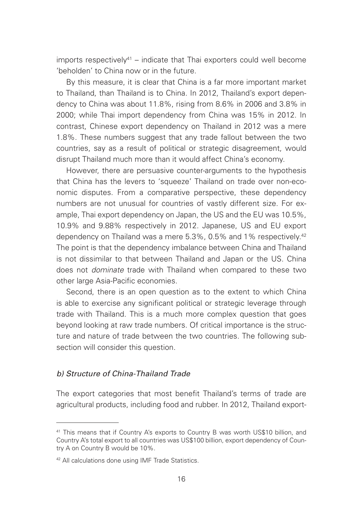imports respectively<sup>41</sup> – indicate that Thai exporters could well become 'beholden' to China now or in the future.

By this measure, it is clear that China is a far more important market to Thailand, than Thailand is to China. In 2012, Thailand's export dependency to China was about 11.8%, rising from 8.6% in 2006 and 3.8% in 2000; while Thai import dependency from China was 15% in 2012. In contrast, Chinese export dependency on Thailand in 2012 was a mere 1.8%. These numbers suggest that any trade fallout between the two countries, say as a result of political or strategic disagreement, would disrupt Thailand much more than it would affect China's economy.

However, there are persuasive counter-arguments to the hypothesis that China has the levers to 'squeeze' Thailand on trade over non-economic disputes. From a comparative perspective, these dependency numbers are not unusual for countries of vastly different size. For example, Thai export dependency on Japan, the US and the EU was 10.5%, 10.9% and 9.88% respectively in 2012. Japanese, US and EU export dependency on Thailand was a mere 5.3%, 0.5% and 1% respectively.<sup>42</sup> The point is that the dependency imbalance between China and Thailand is not dissimilar to that between Thailand and Japan or the US. China does not *dominate* trade with Thailand when compared to these two other large Asia-Pacific economies.

Second, there is an open question as to the extent to which China is able to exercise any significant political or strategic leverage through trade with Thailand. This is a much more complex question that goes beyond looking at raw trade numbers. Of critical importance is the structure and nature of trade between the two countries. The following subsection will consider this question.

#### *b) Structure of China-Thailand Trade*

The export categories that most benefit Thailand's terms of trade are agricultural products, including food and rubber. In 2012, Thailand export-

<sup>41</sup> This means that if Country A's exports to Country B was worth US\$10 billion, and Country A's total export to all countries was US\$100 billion, export dependency of Country A on Country B would be 10%.

<sup>42</sup> All calculations done using IMF Trade Statistics.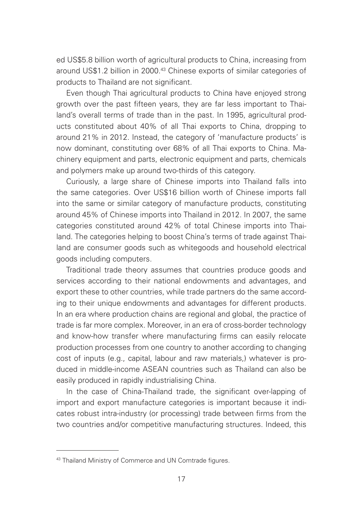ed US\$5.8 billion worth of agricultural products to China, increasing from around US\$1.2 billion in 2000.43 Chinese exports of similar categories of products to Thailand are not significant.

Even though Thai agricultural products to China have enjoyed strong growth over the past fifteen years, they are far less important to Thailand's overall terms of trade than in the past. In 1995, agricultural products constituted about 40% of all Thai exports to China, dropping to around 21% in 2012. Instead, the category of 'manufacture products' is now dominant, constituting over 68% of all Thai exports to China. Machinery equipment and parts, electronic equipment and parts, chemicals and polymers make up around two-thirds of this category.

Curiously, a large share of Chinese imports into Thailand falls into the same categories. Over US\$16 billion worth of Chinese imports fall into the same or similar category of manufacture products, constituting around 45% of Chinese imports into Thailand in 2012. In 2007, the same categories constituted around 42% of total Chinese imports into Thailand. The categories helping to boost China's terms of trade against Thailand are consumer goods such as whitegoods and household electrical goods including computers.

Traditional trade theory assumes that countries produce goods and services according to their national endowments and advantages, and export these to other countries, while trade partners do the same according to their unique endowments and advantages for different products. In an era where production chains are regional and global, the practice of trade is far more complex. Moreover, in an era of cross-border technology and know-how transfer where manufacturing firms can easily relocate production processes from one country to another according to changing cost of inputs (e.g., capital, labour and raw materials,) whatever is produced in middle-income ASEAN countries such as Thailand can also be easily produced in rapidly industrialising China.

In the case of China-Thailand trade, the significant over-lapping of import and export manufacture categories is important because it indicates robust intra-industry (or processing) trade between firms from the two countries and/or competitive manufacturing structures. Indeed, this

<sup>43</sup> Thailand Ministry of Commerce and UN Comtrade figures.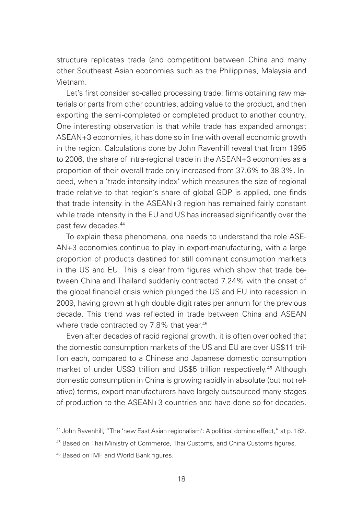structure replicates trade (and competition) between China and many other Southeast Asian economies such as the Philippines, Malaysia and Vietnam.

Let's first consider so-called processing trade: firms obtaining raw materials or parts from other countries, adding value to the product, and then exporting the semi-completed or completed product to another country. One interesting observation is that while trade has expanded amongst ASEAN+3 economies, it has done so in line with overall economic growth in the region. Calculations done by John Ravenhill reveal that from 1995 to 2006, the share of intra-regional trade in the ASEAN+3 economies as a proportion of their overall trade only increased from 37.6% to 38.3%. Indeed, when a 'trade intensity index' which measures the size of regional trade relative to that region's share of global GDP is applied, one finds that trade intensity in the ASEAN+3 region has remained fairly constant while trade intensity in the EU and US has increased significantly over the past few decades.44

To explain these phenomena, one needs to understand the role ASE-AN+3 economies continue to play in export-manufacturing, with a large proportion of products destined for still dominant consumption markets in the US and EU. This is clear from figures which show that trade between China and Thailand suddenly contracted 7.24% with the onset of the global financial crisis which plunged the US and EU into recession in 2009, having grown at high double digit rates per annum for the previous decade. This trend was reflected in trade between China and ASEAN where trade contracted by 7.8% that year.<sup>45</sup>

Even after decades of rapid regional growth, it is often overlooked that the domestic consumption markets of the US and EU are over US\$11 trillion each, compared to a Chinese and Japanese domestic consumption market of under US\$3 trillion and US\$5 trillion respectively.46 Although domestic consumption in China is growing rapidly in absolute (but not relative) terms, export manufacturers have largely outsourced many stages of production to the ASEAN+3 countries and have done so for decades.

<sup>44</sup> John Ravenhill, "The 'new East Asian regionalism': A political domino effect," at p. 182.

<sup>45</sup> Based on Thai Ministry of Commerce, Thai Customs, and China Customs figures.

<sup>46</sup> Based on IMF and World Bank figures.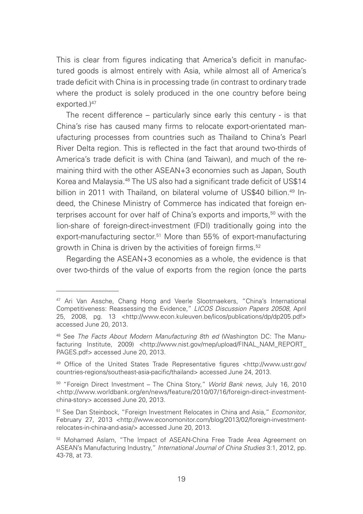This is clear from figures indicating that America's deficit in manufactured goods is almost entirely with Asia, while almost all of America's trade deficit with China is in processing trade (in contrast to ordinary trade where the product is solely produced in the one country before being exported.)47

The recent difference – particularly since early this century - is that China's rise has caused many firms to relocate export-orientated manufacturing processes from countries such as Thailand to China's Pearl River Delta region. This is reflected in the fact that around two-thirds of America's trade deficit is with China (and Taiwan), and much of the remaining third with the other ASEAN+3 economies such as Japan, South Korea and Malaysia.<sup>48</sup> The US also had a significant trade deficit of US\$14 billion in 2011 with Thailand, on bilateral volume of US\$40 billion.<sup>49</sup> Indeed, the Chinese Ministry of Commerce has indicated that foreign enterprises account for over half of China's exports and imports,<sup>50</sup> with the lion-share of foreign-direct-investment (FDI) traditionally going into the export-manufacturing sector.<sup>51</sup> More than 55% of export-manufacturing growth in China is driven by the activities of foreign firms.<sup>52</sup>

Regarding the ASEAN+3 economies as a whole, the evidence is that over two-thirds of the value of exports from the region (once the parts

<sup>47</sup> Ari Van Assche, Chang Hong and Veerle Slootmaekers, "China's International Competitiveness: Reassessing the Evidence," *LICOS Discussion Papers 20508*, April 25, 2008, pg. 13 <http://www.econ.kuleuven.be/licos/publications/dp/dp205.pdf> accessed June 20, 2013.

<sup>48</sup> See *The Facts About Modern Manufacturing 8th ed* (Washington DC: The Manufacturing Institute, 2009) <http://www.nist.gov/mep/upload/FINAL\_NAM\_REPORT PAGES ndf> accessed June 20, 2013.

<sup>49</sup> Office of the United States Trade Representative figures <http://www.ustr.gov/ countries-regions/southeast-asia-pacific/thailand> accessed June 24, 2013.

<sup>50 &</sup>quot;Foreign Direct Investment – The China Story," *World Bank news*, July 16, 2010 <http://www.worldbank.org/en/news/feature/2010/07/16/foreign-direct-investmentchina-story> accessed June 20, 2013.

<sup>51</sup> See Dan Steinbock, "Foreign Investment Relocates in China and Asia," *Ecomonitor*, February 27, 2013 <http://www.economonitor.com/blog/2013/02/foreign-investmentrelocates-in-china-and-asia/> accessed June 20, 2013.

<sup>52</sup> Mohamed Aslam, "The Impact of ASEAN-China Free Trade Area Agreement on ASEAN's Manufacturing Industry," *International Journal of China Studies* 3:1, 2012, pp. 43-78, at 73.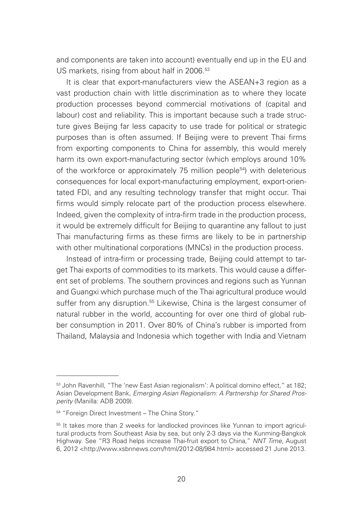and components are taken into account) eventually end up in the EU and US markets, rising from about half in 2006.<sup>53</sup>

It is clear that export-manufacturers view the ASEAN+3 region as a vast production chain with little discrimination as to where they locate production processes beyond commercial motivations of (capital and labour) cost and reliability. This is important because such a trade structure gives Beijing far less capacity to use trade for political or strategic purposes than is often assumed. If Beijing were to prevent Thai firms from exporting components to China for assembly, this would merely harm its own export-manufacturing sector (which employs around 10% of the workforce or approximately 75 million people54) with deleterious consequences for local export-manufacturing employment, export-orientated FDI, and any resulting technology transfer that might occur. Thai firms would simply relocate part of the production process elsewhere. Indeed, given the complexity of intra-firm trade in the production process, it would be extremely difficult for Beijing to quarantine any fallout to just Thai manufacturing firms as these firms are likely to be in partnership with other multinational corporations (MNCs) in the production process.

Instead of intra-firm or processing trade, Beijing could attempt to target Thai exports of commodities to its markets. This would cause a different set of problems. The southern provinces and regions such as Yunnan and Guangxi which purchase much of the Thai agricultural produce would suffer from any disruption.<sup>55</sup> Likewise, China is the largest consumer of natural rubber in the world, accounting for over one third of global rubber consumption in 2011. Over 80% of China's rubber is imported from Thailand, Malaysia and Indonesia which together with India and Vietnam

<sup>53</sup> John Ravenhill, "The 'new East Asian regionalism': A political domino effect," at 182; Asian Development Bank, *Emerging Asian Regionalism: A Partnership for Shared Prosperity* (Manilla: ADB 2009).

<sup>54 &</sup>quot;Foreign Direct Investment – The China Story."

<sup>&</sup>lt;sup>55</sup> It takes more than 2 weeks for landlocked provinces like Yunnan to import agricultural products from Southeast Asia by sea, but only 2-3 days via the Kunming-Bangkok Highway. See "R3 Road helps increase Thai-fruit export to China," *NNT Time*, August 6, 2012 <http://www.xsbnnews.com/html/2012-08/984.html> accessed 21 June 2013.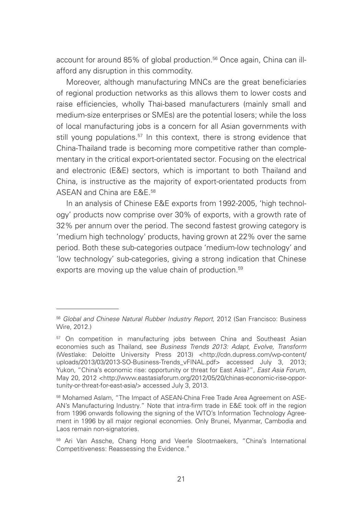account for around 85% of global production.<sup>56</sup> Once again, China can illafford any disruption in this commodity.

Moreover, although manufacturing MNCs are the great beneficiaries of regional production networks as this allows them to lower costs and raise efficiencies, wholly Thai-based manufacturers (mainly small and medium-size enterprises or SMEs) are the potential losers; while the loss of local manufacturing jobs is a concern for all Asian governments with still young populations.<sup>57</sup> In this context, there is strong evidence that China-Thailand trade is becoming more competitive rather than complementary in the critical export-orientated sector. Focusing on the electrical and electronic (E&E) sectors, which is important to both Thailand and China, is instructive as the majority of export-orientated products from ASEAN and China are E&E.58

In an analysis of Chinese E&E exports from 1992-2005, 'high technology' products now comprise over 30% of exports, with a growth rate of 32% per annum over the period. The second fastest growing category is 'medium high technology' products, having grown at 22% over the same period. Both these sub-categories outpace 'medium-low technology' and 'low technology' sub-categories, giving a strong indication that Chinese exports are moving up the value chain of production.<sup>59</sup>

<sup>56</sup> *Global and Chinese Natural Rubber Industry Report*, 2012 (San Francisco: Business Wire, 2012.)

<sup>&</sup>lt;sup>57</sup> On competition in manufacturing jobs between China and Southeast Asian economies such as Thailand, see *Business Trends 2013: Adapt, Evolve, Transform*  (Westlake: Deloitte University Press 2013) <http://cdn.dupress.com/wp-content/ uploads/2013/03/2013-SO-Business-Trends\_vFINAL.pdf> accessed July 3, 2013; Yukon, "China's economic rise: opportunity or threat for East Asia?", *East Asia Forum*, May 20, 2012 <http://www.eastasiaforum.org/2012/05/20/chinas-economic-rise-opportunity-or-threat-for-east-asia/> accessed July 3, 2013.

<sup>58</sup> Mohamed Aslam, "The Impact of ASEAN-China Free Trade Area Agreement on ASE-AN's Manufacturing Industry." Note that intra-firm trade in E&E took off in the region from 1996 onwards following the signing of the WTO's Information Technology Agreement in 1996 by all major regional economies. Only Brunei, Myanmar, Cambodia and Laos remain non-signatories.

<sup>59</sup> Ari Van Assche, Chang Hong and Veerle Slootmaekers, "China's International Competitiveness: Reassessing the Evidence."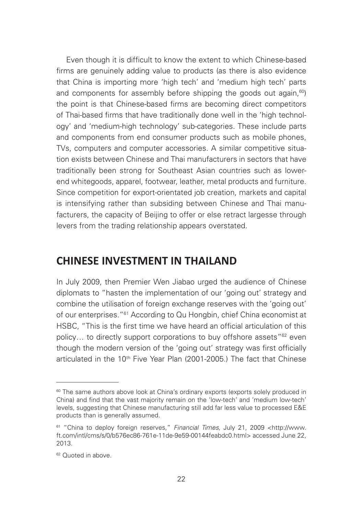Even though it is difficult to know the extent to which Chinese-based firms are genuinely adding value to products (as there is also evidence that China is importing more 'high tech' and 'medium high tech' parts and components for assembly before shipping the goods out again, $60$ ) the point is that Chinese-based firms are becoming direct competitors of Thai-based firms that have traditionally done well in the 'high technology' and 'medium-high technology' sub-categories. These include parts and components from end consumer products such as mobile phones, TVs, computers and computer accessories. A similar competitive situation exists between Chinese and Thai manufacturers in sectors that have traditionally been strong for Southeast Asian countries such as lowerend whitegoods, apparel, footwear, leather, metal products and furniture. Since competition for export-orientated job creation, markets and capital is intensifying rather than subsiding between Chinese and Thai manufacturers, the capacity of Beijing to offer or else retract largesse through levers from the trading relationship appears overstated.

### **CHINESE INVESTMENT IN THAILAND**

In July 2009, then Premier Wen Jiabao urged the audience of Chinese diplomats to "hasten the implementation of our 'going out' strategy and combine the utilisation of foreign exchange reserves with the 'going out' of our enterprises."61 According to Qu Hongbin, chief China economist at HSBC, "This is the first time we have heard an official articulation of this policy... to directly support corporations to buy offshore assets<sup>"62</sup> even though the modern version of the 'going out' strategy was first officially articulated in the 10<sup>th</sup> Five Year Plan (2001-2005.) The fact that Chinese

<sup>&</sup>lt;sup>60</sup> The same authors above look at China's ordinary exports (exports solely produced in China) and find that the vast majority remain on the 'low-tech' and 'medium low-tech' levels, suggesting that Chinese manufacturing still add far less value to processed E&E products than is generally assumed.

<sup>61 &</sup>quot;China to deploy foreign reserves," *Financial Times*, July 21, 2009 <http://www. ft.com/intl/cms/s/0/b576ec86-761e-11de-9e59-00144feabdc0.html> accessed June 22, 2013.

<sup>62</sup> Quoted in above.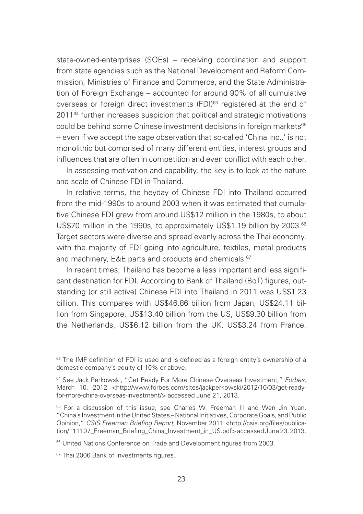state-owned-enterprises (SOEs) – receiving coordination and support from state agencies such as the National Development and Reform Commission, Ministries of Finance and Commerce, and the State Administration of Foreign Exchange – accounted for around 90% of all cumulative overseas or foreign direct investments (FDI)<sup>63</sup> registered at the end of 2011<sup>64</sup> further increases suspicion that political and strategic motivations could be behind some Chinese investment decisions in foreign markets<sup>65</sup> -- even if we accept the sage observation that so-called 'China Inc.,' is not monolithic but comprised of many different entities, interest groups and influences that are often in competition and even conflict with each other.

In assessing motivation and capability, the key is to look at the nature and scale of Chinese FDI in Thailand.

In relative terms, the heyday of Chinese FDI into Thailand occurred from the mid-1990s to around 2003 when it was estimated that cumulative Chinese FDI grew from around US\$12 million in the 1980s, to about US\$70 million in the 1990s, to approximately US\$1.19 billion by 2003.<sup>66</sup> Target sectors were diverse and spread evenly across the Thai economy, with the majority of FDI going into agriculture, textiles, metal products and machinery, E&E parts and products and chemicals.<sup>67</sup>

In recent times, Thailand has become a less important and less significant destination for FDI. According to Bank of Thailand (BoT) figures, outstanding (or still active) Chinese FDI into Thailand in 2011 was US\$1.23 billion. This compares with US\$46.86 billion from Japan, US\$24.11 billion from Singapore, US\$13.40 billion from the US, US\$9.30 billion from the Netherlands, US\$6.12 billion from the UK, US\$3.24 from France,

<sup>&</sup>lt;sup>63</sup> The IMF definition of FDI is used and is defined as a foreign entity's ownership of a domestic company's equity of 10% or above.

<sup>64</sup> See Jack Perkowski, "Get Ready For More Chinese Overseas Investment," *Forbes*, March 10, 2012 <http://www.forbes.com/sites/jackperkowski/2012/10/03/get-readyfor-more-china-overseas-investment/> accessed June 21, 2013.

<sup>&</sup>lt;sup>65</sup> For a discussion of this issue, see Charles W. Freeman III and Wen Jin Yuan, "China's Investment in the United States – National Initiatives, Corporate Goals, and Public Opinion," *CSIS Freeman Briefing Report*, November 2011 <http://csis.org/files/publication/111107 Freeman\_Briefing\_China\_Investment\_in\_US.pdf> accessed June 23, 2013.

<sup>66</sup> United Nations Conference on Trade and Development figures from 2003.

<sup>&</sup>lt;sup>67</sup> Thai 2006 Bank of Investments figures.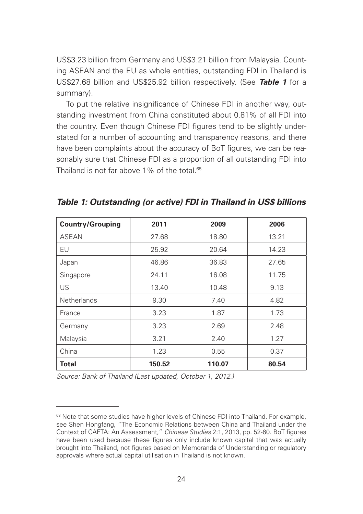US\$3.23 billion from Germany and US\$3.21 billion from Malaysia. Counting ASEAN and the EU as whole entities, outstanding FDI in Thailand is US\$27.68 billion and US\$25.92 billion respectively. (See *Table 1* for a summary).

To put the relative insignificance of Chinese FDI in another way, outstanding investment from China constituted about 0.81% of all FDI into the country. Even though Chinese FDI figures tend to be slightly understated for a number of accounting and transparency reasons, and there have been complaints about the accuracy of BoT figures, we can be reasonably sure that Chinese FDI as a proportion of all outstanding FDI into Thailand is not far above  $1\%$  of the total  $68$ 

| <b>Country/Grouping</b> | 2011   | 2009   | 2006  |
|-------------------------|--------|--------|-------|
| <b>ASEAN</b>            | 27.68  | 18.80  | 13.21 |
| EU                      | 25.92  | 20.64  | 14.23 |
| Japan                   | 46.86  | 36.83  | 27.65 |
| Singapore               | 24.11  | 16.08  | 11.75 |
| US                      | 13.40  | 10.48  | 9.13  |
| <b>Netherlands</b>      | 9.30   | 7.40   | 4.82  |
| France                  | 3.23   | 1.87   | 1.73  |
| Germany                 | 3.23   | 2.69   | 2.48  |
| Malaysia                | 3.21   | 2.40   | 1.27  |
| China                   | 1.23   | 0.55   | 0.37  |
| Total                   | 150.52 | 110.07 | 80.54 |

*Table 1: Outstanding (or active) FDI in Thailand in US\$ billions*

*Source: Bank of Thailand (Last updated, October 1, 2012.)*

<sup>&</sup>lt;sup>68</sup> Note that some studies have higher levels of Chinese FDI into Thailand. For example, see Shen Hongfang, "The Economic Relations between China and Thailand under the Context of CAFTA: An Assessment," *Chinese Studies* 2:1, 2013, pp. 52-60. BoT figures have been used because these figures only include known capital that was actually brought into Thailand, not figures based on Memoranda of Understanding or regulatory approvals where actual capital utilisation in Thailand is not known.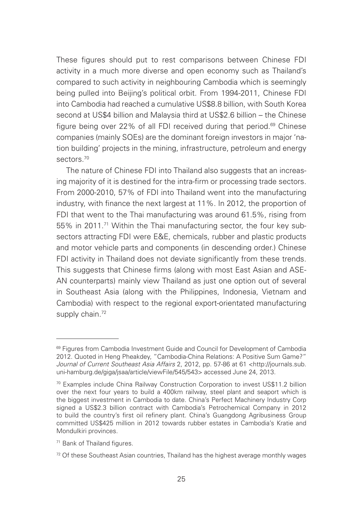These figures should put to rest comparisons between Chinese FDI activity in a much more diverse and open economy such as Thailand's compared to such activity in neighbouring Cambodia which is seemingly being pulled into Beijing's political orbit. From 1994-2011, Chinese FDI into Cambodia had reached a cumulative US\$8.8 billion, with South Korea second at US\$4 billion and Malaysia third at US\$2.6 billion – the Chinese figure being over 22% of all FDI received during that period.<sup>69</sup> Chinese companies (mainly SOEs) are the dominant foreign investors in major 'nation building' projects in the mining, infrastructure, petroleum and energy sectors.<sup>70</sup>

The nature of Chinese FDI into Thailand also suggests that an increasing majority of it is destined for the intra-firm or processing trade sectors. From 2000-2010, 57% of FDI into Thailand went into the manufacturing industry, with finance the next largest at 11%. In 2012, the proportion of FDI that went to the Thai manufacturing was around 61.5%, rising from 55% in 2011.71 Within the Thai manufacturing sector, the four key subsectors attracting FDI were E&E, chemicals, rubber and plastic products and motor vehicle parts and components (in descending order.) Chinese FDI activity in Thailand does not deviate significantly from these trends. This suggests that Chinese firms (along with most East Asian and ASE-AN counterparts) mainly view Thailand as just one option out of several in Southeast Asia (along with the Philippines, Indonesia, Vietnam and Cambodia) with respect to the regional export-orientated manufacturing supply chain.<sup>72</sup>

<sup>&</sup>lt;sup>69</sup> Figures from Cambodia Investment Guide and Council for Development of Cambodia 2012. Quoted in Heng Pheakdey, "Cambodia-China Relations: A Positive Sum Game?" *Journal of Current Southeast Asia Affairs* 2, 2012, pp. 57-86 at 61 <http://journals.sub. uni-hamburg.de/giga/jsaa/article/viewFile/545/543> accessed June 24, 2013.

<sup>70</sup> Examples include China Railway Construction Corporation to invest US\$11.2 billion over the next four years to build a 400km railway, steel plant and seaport which is the biggest investment in Cambodia to date. China's Perfect Machinery Industry Corp signed a US\$2.3 billion contract with Cambodia's Petrochemical Company in 2012 to build the country's first oil refinery plant. China's Guangdong Agribusiness Group committed US\$425 million in 2012 towards rubber estates in Cambodia's Kratie and Mondulkiri provinces.

<sup>71</sup> Bank of Thailand figures.

<sup>72</sup> Of these Southeast Asian countries, Thailand has the highest average monthly wages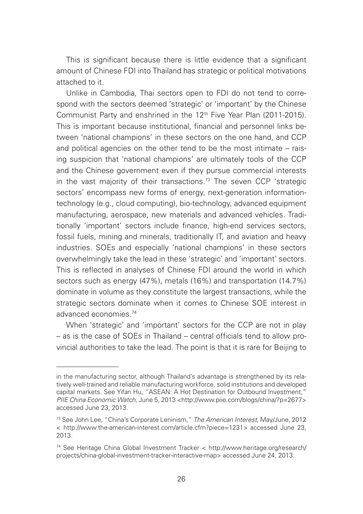This is significant because there is little evidence that a significant amount of Chinese FDI into Thailand has strategic or political motivations attached to it.

Unlike in Cambodia, Thai sectors open to FDI do not tend to correspond with the sectors deemed 'strategic' or 'important' by the Chinese Communist Party and enshrined in the 12th Five Year Plan (2011-2015). This is important because institutional, financial and personnel links between 'national champions' in these sectors on the one hand, and CCP and political agencies on the other tend to be the most intimate – raising suspicion that 'national champions' are ultimately tools of the CCP and the Chinese government even if they pursue commercial interests in the vast majority of their transactions.<sup>73</sup> The seven CCP 'strategic sectors' encompass new forms of energy, next-generation informationtechnology (e.g., cloud computing), bio-technology, advanced equipment manufacturing, aerospace, new materials and advanced vehicles. Traditionally 'important' sectors include finance, high-end services sectors, fossil fuels, mining and minerals, traditionally IT, and aviation and heavy industries. SOEs and especially 'national champions' in these sectors overwhelmingly take the lead in these 'strategic' and 'important' sectors. This is reflected in analyses of Chinese FDI around the world in which sectors such as energy (47%), metals (16%) and transportation (14.7%) dominate in volume as they constitute the largest transactions, while the strategic sectors dominate when it comes to Chinese SOE interest in advanced economies.74

When 'strategic' and 'important' sectors for the CCP are not in play – as is the case of SOEs in Thailand – central officials tend to allow provincial authorities to take the lead. The point is that it is rare for Beijing to

in the manufacturing sector, although Thailand's advantage is strengthened by its relatively well-trained and reliable manufacturing workforce, solid institutions and developed capital markets. See Yifan Hu, "ASEAN: A Hot Destination for Outbound Investment," *PIIE China Economic Watch*, June 5, 2013 <http://www.piie.com/blogs/china/?p=2677> accessed June 23, 2013.

<sup>73</sup> See John Lee, "China's Corporate Leninism," *The American Interest*, May/June, 2012 < http://www.the-american-interest.com/article.cfm?piece=1231> accessed June 23, 2013.

<sup>74</sup> See Heritage China Global Investment Tracker < http://www.heritage.org/research/ projects/china-global-investment-tracker-interactive-map> accessed June 24, 2013.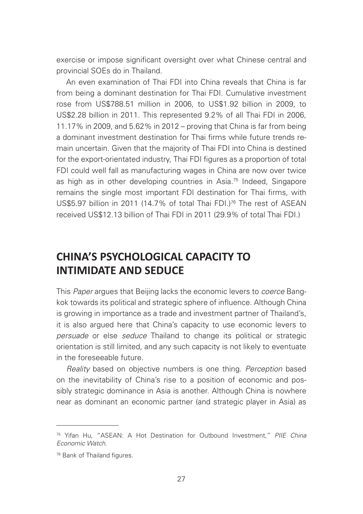exercise or impose significant oversight over what Chinese central and provincial SOEs do in Thailand.

An even examination of Thai FDI into China reveals that China is far from being a dominant destination for Thai FDI. Cumulative investment rose from US\$788.51 million in 2006, to US\$1.92 billion in 2009, to US\$2.28 billion in 2011. This represented 9.2% of all Thai FDI in 2006, 11.17% in 2009, and 5.62% in 2012 – proving that China is far from being a dominant investment destination for Thai firms while future trends remain uncertain. Given that the majority of Thai FDI into China is destined for the export-orientated industry. Thai FDI figures as a proportion of total FDI could well fall as manufacturing wages in China are now over twice as high as in other developing countries in Asia.<sup>75</sup> Indeed, Singapore remains the single most important FDI destination for Thai firms, with US\$5.97 billion in 2011 (14.7% of total Thai FDI.)76 The rest of ASEAN received US\$12.13 billion of Thai FDI in 2011 (29.9% of total Thai FDI.)

### **CHINA'S PSYCHOLOGICAL CAPACITY TO INTIMIDATE AND SEDUCE**

This *Paper* argues that Beijing lacks the economic levers to *coerce* Bangkok towards its political and strategic sphere of influence. Although China is growing in importance as a trade and investment partner of Thailand's, it is also argued here that China's capacity to use economic levers to *persuade* or else *seduce* Thailand to change its political or strategic orientation is still limited, and any such capacity is not likely to eventuate in the foreseeable future.

*Reality* based on objective numbers is one thing. *Perception* based on the inevitability of China's rise to a position of economic and possibly strategic dominance in Asia is another. Although China is nowhere near as dominant an economic partner (and strategic player in Asia) as

<sup>75</sup> Yifan Hu, "ASEAN: A Hot Destination for Outbound Investment," *PIIE China Economic Watch*.

<sup>76</sup> Bank of Thailand figures.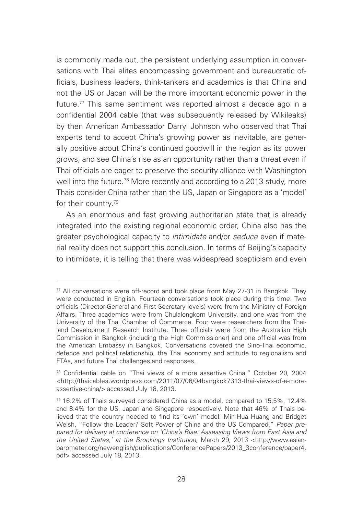is commonly made out, the persistent underlying assumption in conversations with Thai elites encompassing government and bureaucratic officials, business leaders, think-tankers and academics is that China and not the US or Japan will be the more important economic power in the future.<sup>77</sup> This same sentiment was reported almost a decade ago in a confidential 2004 cable (that was subsequently released by Wikileaks) by then American Ambassador Darryl Johnson who observed that Thai experts tend to accept China's growing power as inevitable, are generally positive about China's continued goodwill in the region as its power grows, and see China's rise as an opportunity rather than a threat even if Thai officials are eager to preserve the security alliance with Washington well into the future.78 More recently and according to a 2013 study, more Thais consider China rather than the US, Japan or Singapore as a 'model' for their country.79

As an enormous and fast growing authoritarian state that is already integrated into the existing regional economic order, China also has the greater psychological capacity to *intimidate* and/or *seduce* even if material reality does not support this conclusion. In terms of Beijing's capacity to intimidate, it is telling that there was widespread scepticism and even

<sup>77</sup> All conversations were off-record and took place from May 27-31 in Bangkok. They were conducted in English. Fourteen conversations took place during this time. Two officials (Director-General and First Secretary levels) were from the Ministry of Foreign Affairs. Three academics were from Chulalongkorn University, and one was from the University of the Thai Chamber of Commerce. Four were researchers from the Thailand Development Research Institute. Three officials were from the Australian High Commission in Bangkok (including the High Commissioner) and one official was from the American Embassy in Bangkok. Conversations covered the Sino-Thai economic, defence and political relationship, the Thai economy and attitude to regionalism and FTAs, and future Thai challenges and responses.

<sup>78</sup> Confidential cable on "Thai views of a more assertive China," October 20, 2004 <http://thaicables.wordpress.com/2011/07/06/04bangkok7313-thai-views-of-a-moreassertive-china/> accessed July 18, 2013.

<sup>79 16.2%</sup> of Thais surveyed considered China as a model, compared to 15,5%, 12.4% and 8.4% for the US, Japan and Singapore respectively. Note that 46% of Thais believed that the country needed to find its 'own' model: Min-Hua Huang and Bridget Welsh, "Follow the Leader? Soft Power of China and the US Compared," *Paper prepared for delivery at conference on 'China's Rise: Assessing Views from East Asia and the United States,' at the Brookings Institution*, March 29, 2013 <http://www.asianbarometer.org/newenglish/publications/ConferencePapers/2013\_3conference/paper4. pdf> accessed July 18, 2013.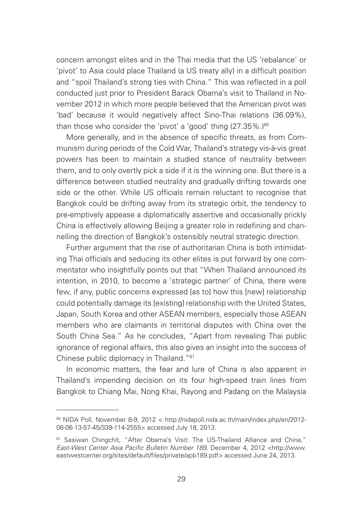concern amongst elites and in the Thai media that the US 'rebalance' or 'pivot' to Asia could place Thailand (a US treaty ally) in a difficult position and "spoil Thailand's strong ties with China." This was reflected in a poll conducted just prior to President Barack Obama's visit to Thailand in November 2012 in which more people believed that the American pivot was 'bad' because it would negatively affect Sino-Thai relations (36.09%), than those who consider the 'pivot' a 'good' thing  $(27.35\%)$ <sup>80</sup>

More generally, and in the absence of specific threats, as from Communism during periods of the Cold War, Thailand's strategy vis-à-vis great powers has been to maintain a studied stance of neutrality between them, and to only overtly pick a side if it is the winning one. But there is a difference between studied neutrality and gradually drifting towards one side or the other. While US officials remain reluctant to recognise that Bangkok could be drifting away from its strategic orbit, the tendency to pre-emptively appease a diplomatically assertive and occasionally prickly China is effectively allowing Beijing a greater role in redefining and channelling the direction of Bangkok's ostensibly neutral strategic direction.

Further argument that the rise of authoritarian China is both intimidating Thai officials and seducing its other elites is put forward by one commentator who insightfully points out that "When Thailand announced its intention, in 2010, to become a 'strategic partner' of China, there were few, if any, public concerns expressed [as to] how this [new] relationship could potentially damage its [existing] relationship with the United States, Japan, South Korea and other ASEAN members, especially those ASEAN members who are claimants in territorial disputes with China over the South China Sea." As he concludes, "Apart from revealing Thai public ignorance of regional affairs, this also gives an insight into the success of Chinese public diplomacy in Thailand."81

In economic matters, the fear and lure of China is also apparent in Thailand's impending decision on its four high-speed train lines from Bangkok to Chiang Mai, Nong Khai, Rayong and Padang on the Malaysia

<sup>80</sup> NIDA Poll, November 8-9, 2012 < http://nidapoll.nida.ac.th/main/index.php/en/2012-08-06-13-57-45/339-114-2555> accessed July 18, 2013.

<sup>81</sup> Sasiwan Chingchit, "After Obama's Visit: The US-Thailand Alliance and China," *East-West Center Asia Pacific Bulletin Number 189*, December 4, 2012 <http://www. eastwestcenter.org/sites/default/files/private/apb189.pdf> accessed June 24, 2013.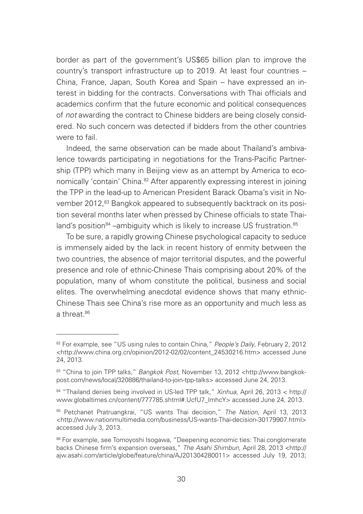border as part of the government's US\$65 billion plan to improve the country's transport infrastructure up to 2019. At least four countries – China, France, Japan, South Korea and Spain – have expressed an interest in bidding for the contracts. Conversations with Thai officials and academics confirm that the future economic and political consequences of *not* awarding the contract to Chinese bidders are being closely considered. No such concern was detected if bidders from the other countries were to fail

Indeed, the same observation can be made about Thailand's ambivalence towards participating in negotiations for the Trans-Pacific Partnership (TPP) which many in Beijing view as an attempt by America to economically 'contain' China.<sup>82</sup> After apparently expressing interest in joining the TPP in the lead-up to American President Barack Obama's visit in November 2012,<sup>83</sup> Bangkok appeared to subsequently backtrack on its position several months later when pressed by Chinese officials to state Thailand's position<sup>84</sup> –ambiguity which is likely to increase US frustration.<sup>85</sup>

To be sure, a rapidly growing Chinese psychological capacity to seduce is immensely aided by the lack in recent history of enmity between the two countries, the absence of major territorial disputes, and the powerful presence and role of ethnic-Chinese Thais comprising about 20% of the population, many of whom constitute the political, business and social elites. The overwhelming anecdotal evidence shows that many ethnic-Chinese Thais see China's rise more as an opportunity and much less as a threat  $86$ 

<sup>82</sup> For example, see "US using rules to contain China," *People's Daily*, February 2, 2012 <http://www.china.org.cn/opinion/2012-02/02/content\_24530216.htm> accessed June 24, 2013.

<sup>83 &</sup>quot;China to join TPP talks," *Bangkok Post*, November 13, 2012 <http://www.bangkokpost.com/news/local/320886/thailand-to-join-tpp-talks> accessed June 24, 2013.

<sup>84 &</sup>quot;Thailand denies being involved in US-led TPP talk," *Xinhua*, April 26, 2013 < http:// www.globaltimes.cn/content/777785.shtml#.UcfU7\_lmhcY> accessed June 24, 2013.

<sup>85</sup> Petchanet Pratruangkrai, "US wants Thai decision," *The Nation*, April 13, 2013 <http://www.nationmultimedia.com/business/US-wants-Thai-decision-30179907.html> accessed July 3, 2013.

<sup>86</sup> For example, see Tomoyoshi Isogawa, "Deepening economic ties: Thai conglomerate backs Chinese firm's expansion overseas," *The Asahi Shimbun*, April 28, 2013 <http:// ajw.asahi.com/article/globe/feature/china/AJ201304280011> accessed July 19, 2013;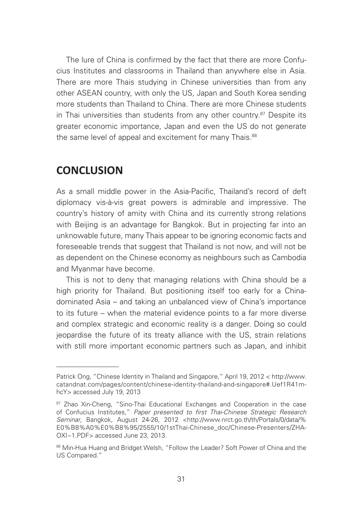The lure of China is confirmed by the fact that there are more Confucius Institutes and classrooms in Thailand than anywhere else in Asia. There are more Thais studying in Chinese universities than from any other ASEAN country, with only the US, Japan and South Korea sending more students than Thailand to China. There are more Chinese students in Thai universities than students from any other country.<sup>87</sup> Despite its greater economic importance, Japan and even the US do not generate the same level of appeal and excitement for many Thais.<sup>88</sup>

### **CONCLUSION**

As a small middle power in the Asia-Pacific, Thailand's record of deft diplomacy vis-à-vis great powers is admirable and impressive. The country's history of amity with China and its currently strong relations with Beijing is an advantage for Bangkok. But in projecting far into an unknowable future, many Thais appear to be ignoring economic facts and foreseeable trends that suggest that Thailand is not now, and will not be as dependent on the Chinese economy as neighbours such as Cambodia and Myanmar have become.

This is not to deny that managing relations with China should be a high priority for Thailand. But positioning itself too early for a Chinadominated Asia – and taking an unbalanced view of China's importance to its future – when the material evidence points to a far more diverse and complex strategic and economic reality is a danger. Doing so could jeopardise the future of its treaty alliance with the US, strain relations with still more important economic partners such as Japan, and inhibit

Patrick Ong, "Chinese Identity in Thailand and Singapore," April 19, 2012 < http://www. catandnat.com/pages/content/chinese-identity-thailand-and-singapore#.Uef1R41mhcY> accessed July 19, 2013

<sup>87</sup> Zhao Xin-Cheng, "Sino-Thai Educational Exchanges and Cooperation in the case of Confucius Institutes," *Paper presented to first Thai-Chinese Strategic Research Seminar*, Bangkok, August 24-26, 2012 <http://www.nrct.go.th/th/Portals/0/data/% E0%B8%A0%E0%B8%95/2555/10/1stThai-Chinese\_doc/Chinese-Presenters/ZHA-OXI~1.PDF> accessed June 23, 2013.

<sup>88</sup> Min-Hua Huang and Bridget Welsh, "Follow the Leader? Soft Power of China and the US Compared."